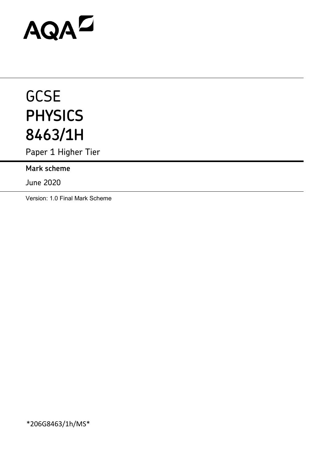# AQAZ

# **GCSE PHYSICS 8463/1H**

Paper 1 Higher Tier

**Mark scheme**

June 2020

Version: 1.0 Final Mark Scheme

\*206G8463/1h/MS\*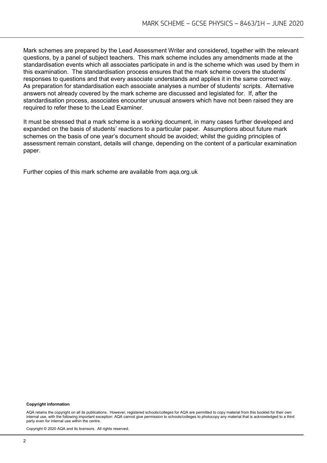Mark schemes are prepared by the Lead Assessment Writer and considered, together with the relevant questions, by a panel of subject teachers. This mark scheme includes any amendments made at the standardisation events which all associates participate in and is the scheme which was used by them in this examination. The standardisation process ensures that the mark scheme covers the students' responses to questions and that every associate understands and applies it in the same correct way. As preparation for standardisation each associate analyses a number of students' scripts. Alternative answers not already covered by the mark scheme are discussed and legislated for. If, after the standardisation process, associates encounter unusual answers which have not been raised they are required to refer these to the Lead Examiner.

It must be stressed that a mark scheme is a working document, in many cases further developed and expanded on the basis of students' reactions to a particular paper. Assumptions about future mark schemes on the basis of one year's document should be avoided; whilst the guiding principles of assessment remain constant, details will change, depending on the content of a particular examination paper.

Further copies of this mark scheme are available from aqa.org.uk

#### **Copyright information**

AQA retains the copyright on all its publications. However, registered schools/colleges for AQA are permitted to copy material from this booklet for their own internal use, with the following important exception: AQA cannot give permission to schools/colleges to photocopy any material that is acknowledged to a third party even for internal use within the centre.

Copyright © 2020 AQA and its licensors. All rights reserved.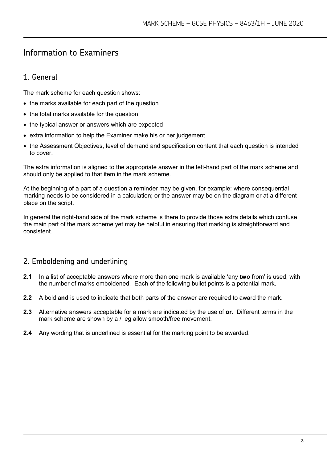# Information to Examiners

# 1. General

The mark scheme for each question shows:

- the marks available for each part of the question
- the total marks available for the question
- the typical answer or answers which are expected
- extra information to help the Examiner make his or her judgement
- the Assessment Objectives, level of demand and specification content that each question is intended to cover.

The extra information is aligned to the appropriate answer in the left-hand part of the mark scheme and should only be applied to that item in the mark scheme.

At the beginning of a part of a question a reminder may be given, for example: where consequential marking needs to be considered in a calculation; or the answer may be on the diagram or at a different place on the script.

In general the right-hand side of the mark scheme is there to provide those extra details which confuse the main part of the mark scheme yet may be helpful in ensuring that marking is straightforward and consistent.

# 2. Emboldening and underlining

- **2.1** In a list of acceptable answers where more than one mark is available 'any **two** from' is used, with the number of marks emboldened. Each of the following bullet points is a potential mark.
- **2.2** A bold **and** is used to indicate that both parts of the answer are required to award the mark.
- **2.3** Alternative answers acceptable for a mark are indicated by the use of **or**. Different terms in the mark scheme are shown by a /; eg allow smooth/free movement.
- **2.4** Any wording that is underlined is essential for the marking point to be awarded.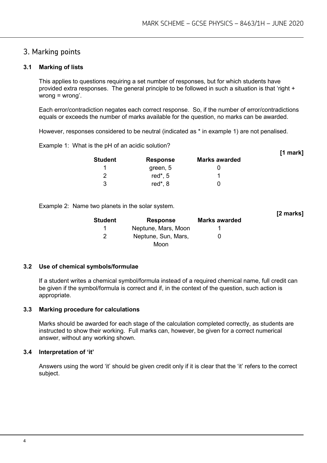**[1 mark]**

# 3. Marking points

#### **3.1 Marking of lists**

This applies to questions requiring a set number of responses, but for which students have provided extra responses. The general principle to be followed in such a situation is that 'right + wrong = wrong'.

Each error/contradiction negates each correct response. So, if the number of error/contradictions equals or exceeds the number of marks available for the question, no marks can be awarded.

However, responses considered to be neutral (indicated as \* in example 1) are not penalised.

Example 1: What is the pH of an acidic solution?

| <b>Student</b> | <b>Response</b> | <b>Marks awarded</b> |  |
|----------------|-----------------|----------------------|--|
|                | green, 5        |                      |  |
| າ              | red $*$ , 5     |                      |  |
| 3              | red $*$ , 8     |                      |  |

Example 2: Name two planets in the solar system.

| <b>Student</b> | <b>Response</b>     | <b>Marks awarded</b> | [2 marks] |
|----------------|---------------------|----------------------|-----------|
|                | Neptune, Mars, Moon |                      |           |
| 2              | Neptune, Sun, Mars, |                      |           |
|                | Moon                |                      |           |

#### **3.2 Use of chemical symbols/formulae**

If a student writes a chemical symbol/formula instead of a required chemical name, full credit can be given if the symbol/formula is correct and if, in the context of the question, such action is appropriate.

#### **3.3 Marking procedure for calculations**

Marks should be awarded for each stage of the calculation completed correctly, as students are instructed to show their working. Full marks can, however, be given for a correct numerical answer, without any working shown.

#### **3.4 Interpretation of 'it'**

Answers using the word 'it' should be given credit only if it is clear that the 'it' refers to the correct subject.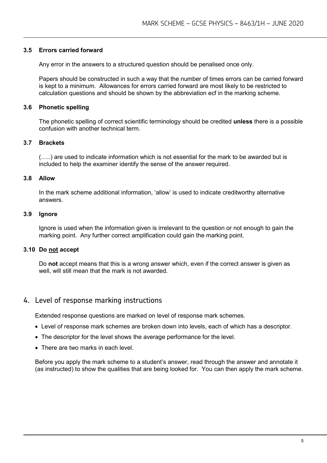#### **3.5 Errors carried forward**

Any error in the answers to a structured question should be penalised once only.

Papers should be constructed in such a way that the number of times errors can be carried forward is kept to a minimum. Allowances for errors carried forward are most likely to be restricted to calculation questions and should be shown by the abbreviation ecf in the marking scheme.

#### **3.6 Phonetic spelling**

The phonetic spelling of correct scientific terminology should be credited **unless** there is a possible confusion with another technical term.

#### **3.7 Brackets**

(…..) are used to indicate information which is not essential for the mark to be awarded but is included to help the examiner identify the sense of the answer required.

#### **3.8 Allow**

In the mark scheme additional information, 'allow' is used to indicate creditworthy alternative answers.

#### **3.9 Ignore**

Ignore is used when the information given is irrelevant to the question or not enough to gain the marking point. Any further correct amplification could gain the marking point.

#### **3.10 Do not accept**

Do **not** accept means that this is a wrong answer which, even if the correct answer is given as well, will still mean that the mark is not awarded.

# 4. Level of response marking instructions

Extended response questions are marked on level of response mark schemes.

- Level of response mark schemes are broken down into levels, each of which has a descriptor.
- The descriptor for the level shows the average performance for the level.
- There are two marks in each level.

Before you apply the mark scheme to a student's answer, read through the answer and annotate it (as instructed) to show the qualities that are being looked for. You can then apply the mark scheme.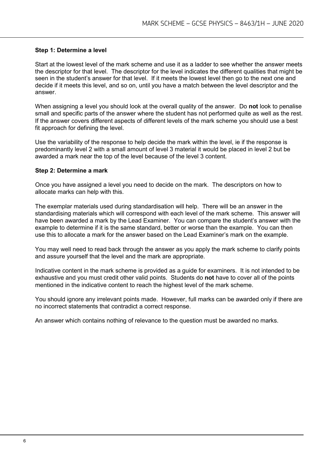#### **Step 1: Determine a level**

Start at the lowest level of the mark scheme and use it as a ladder to see whether the answer meets the descriptor for that level. The descriptor for the level indicates the different qualities that might be seen in the student's answer for that level. If it meets the lowest level then go to the next one and decide if it meets this level, and so on, until you have a match between the level descriptor and the answer.

When assigning a level you should look at the overall quality of the answer. Do **not** look to penalise small and specific parts of the answer where the student has not performed quite as well as the rest. If the answer covers different aspects of different levels of the mark scheme you should use a best fit approach for defining the level.

Use the variability of the response to help decide the mark within the level, ie if the response is predominantly level 2 with a small amount of level 3 material it would be placed in level 2 but be awarded a mark near the top of the level because of the level 3 content.

#### **Step 2: Determine a mark**

Once you have assigned a level you need to decide on the mark. The descriptors on how to allocate marks can help with this.

The exemplar materials used during standardisation will help. There will be an answer in the standardising materials which will correspond with each level of the mark scheme. This answer will have been awarded a mark by the Lead Examiner. You can compare the student's answer with the example to determine if it is the same standard, better or worse than the example. You can then use this to allocate a mark for the answer based on the Lead Examiner's mark on the example.

You may well need to read back through the answer as you apply the mark scheme to clarify points and assure yourself that the level and the mark are appropriate.

Indicative content in the mark scheme is provided as a guide for examiners. It is not intended to be exhaustive and you must credit other valid points. Students do **not** have to cover all of the points mentioned in the indicative content to reach the highest level of the mark scheme.

You should ignore any irrelevant points made. However, full marks can be awarded only if there are no incorrect statements that contradict a correct response.

An answer which contains nothing of relevance to the question must be awarded no marks.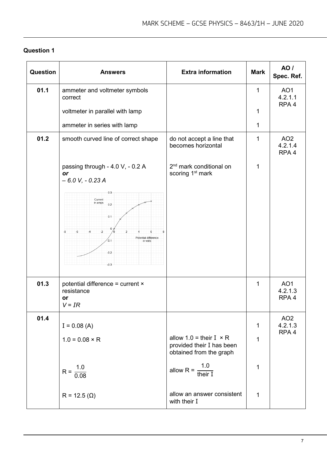| <b>Question</b> | <b>Answers</b>                                                                                                               | <b>Extra information</b>                                                                 | <b>Mark</b>  | <b>AO</b> /<br>Spec. Ref.                      |
|-----------------|------------------------------------------------------------------------------------------------------------------------------|------------------------------------------------------------------------------------------|--------------|------------------------------------------------|
| 01.1            | ammeter and voltmeter symbols<br>correct                                                                                     |                                                                                          | $\mathbf{1}$ | AO <sub>1</sub><br>4.2.1.1                     |
|                 | voltmeter in parallel with lamp                                                                                              |                                                                                          | 1            | RPA <sub>4</sub>                               |
|                 | ammeter in series with lamp                                                                                                  |                                                                                          | 1            |                                                |
| 01.2            | smooth curved line of correct shape                                                                                          | do not accept a line that<br>becomes horizontal                                          | 1            | AO <sub>2</sub><br>4.2.1.4<br>RPA <sub>4</sub> |
|                 | passing through - 4.0 V, - 0.2 A<br>or<br>$-6.0 V, -0.23 A$                                                                  | 2 <sup>nd</sup> mark conditional on<br>scoring 1 <sup>st</sup> mark                      | 1            |                                                |
|                 | 0.3<br>Current<br>in amps<br>0.2<br>0.1<br>$-2$<br>-8<br>6<br>Potential difference<br>$-0.1$<br>in volts<br>$-0.2$<br>$-0.3$ |                                                                                          |              |                                                |
| 01.3            | potential difference = current ×<br>resistance<br>or<br>$V = IR$                                                             |                                                                                          | 1            | AO <sub>1</sub><br>4.2.1.3<br>RPA <sub>4</sub> |
| 01.4            | $I = 0.08$ (A)                                                                                                               |                                                                                          | $\mathbf 1$  | AO <sub>2</sub><br>4.2.1.3                     |
|                 | $1.0 = 0.08 \times R$                                                                                                        | allow $1.0 =$ their $I \times R$<br>provided their I has been<br>obtained from the graph | 1            | RPA <sub>4</sub>                               |
|                 | $R = \frac{1.0}{0.08}$                                                                                                       | allow R = $\frac{1.0}{\text{their I}}$                                                   | $\mathbf 1$  |                                                |
|                 | $R = 12.5 (Ω)$                                                                                                               | allow an answer consistent<br>with their I                                               | 1            |                                                |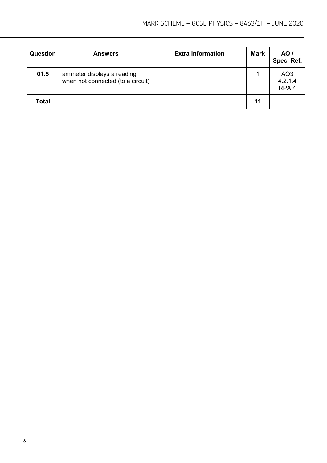| <b>Question</b> | <b>Answers</b>                                                  | <b>Extra information</b> | <b>Mark</b> | AO /<br>Spec. Ref.                             |
|-----------------|-----------------------------------------------------------------|--------------------------|-------------|------------------------------------------------|
| 01.5            | ammeter displays a reading<br>when not connected (to a circuit) |                          |             | AO <sub>3</sub><br>4.2.1.4<br>RPA <sub>4</sub> |
| <b>Total</b>    |                                                                 |                          | 11          |                                                |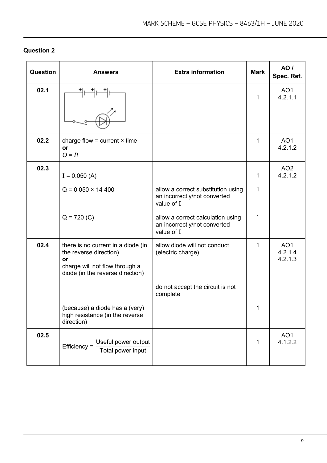| <b>Question</b> | <b>Answers</b>                                                                                                                           | <b>Extra information</b>                                                         | <b>Mark</b> | <b>AO</b> /<br>Spec. Ref.             |
|-----------------|------------------------------------------------------------------------------------------------------------------------------------------|----------------------------------------------------------------------------------|-------------|---------------------------------------|
| 02.1            |                                                                                                                                          |                                                                                  | 1           | AO <sub>1</sub><br>4.2.1.1            |
| 02.2            | charge flow = current $\times$ time<br>or<br>$Q = It$                                                                                    |                                                                                  | 1           | AO <sub>1</sub><br>4.2.1.2            |
| 02.3            | $I = 0.050 (A)$                                                                                                                          |                                                                                  | 1           | AO <sub>2</sub><br>4.2.1.2            |
|                 | $Q = 0.050 \times 14400$                                                                                                                 | allow a correct substitution using<br>an incorrectly/not converted<br>value of I | 1           |                                       |
|                 | $Q = 720 (C)$                                                                                                                            | allow a correct calculation using<br>an incorrectly/not converted<br>value of I  | 1           |                                       |
| 02.4            | there is no current in a diode (in<br>the reverse direction)<br>or<br>charge will not flow through a<br>diode (in the reverse direction) | allow diode will not conduct<br>(electric charge)                                | 1           | AO <sub>1</sub><br>4.2.1.4<br>4.2.1.3 |
|                 |                                                                                                                                          | do not accept the circuit is not<br>complete                                     |             |                                       |
|                 | (because) a diode has a (very)<br>high resistance (in the reverse<br>direction)                                                          |                                                                                  | 1           |                                       |
| 02.5            | Useful power output<br>$Efficiency =$<br>Total power input                                                                               |                                                                                  | 1           | AO <sub>1</sub><br>4.1.2.2            |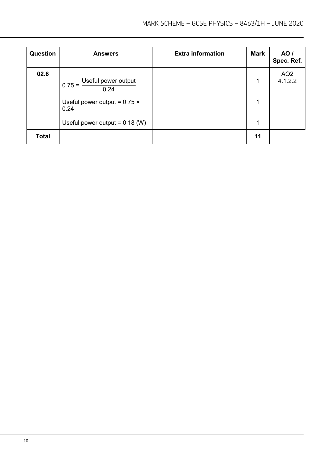| <b>Question</b> | <b>Answers</b>                              | <b>Extra information</b> | <b>Mark</b> | AO /<br>Spec. Ref.         |
|-----------------|---------------------------------------------|--------------------------|-------------|----------------------------|
| 02.6            | Useful power output<br>$0.75 =$<br>0.24     |                          | 1           | AO <sub>2</sub><br>4.1.2.2 |
|                 | Useful power output = $0.75 \times$<br>0.24 |                          | 1           |                            |
|                 | Useful power output = $0.18$ (W)            |                          | 1           |                            |
| <b>Total</b>    |                                             |                          | 11          |                            |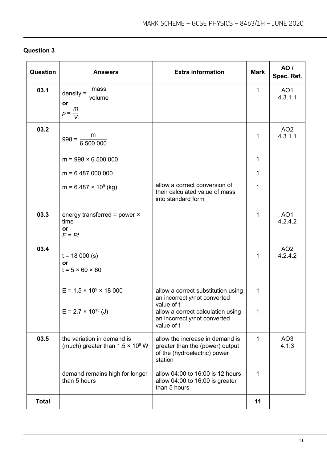| <b>Question 3</b> |  |
|-------------------|--|
|-------------------|--|

| Question     | <b>Answers</b>                                                         | <b>Extra information</b>                                                                                      | <b>Mark</b>  | <b>AO</b> /<br>Spec. Ref.  |
|--------------|------------------------------------------------------------------------|---------------------------------------------------------------------------------------------------------------|--------------|----------------------------|
| 03.1         | mass<br>$density =$<br>volume<br>or<br>m<br>$\rho =$<br>$\overline{V}$ |                                                                                                               | $\mathbf{1}$ | AO <sub>1</sub><br>4.3.1.1 |
| 03.2         | m<br>$998 = \frac{11}{6500000}$                                        |                                                                                                               | $\mathbf{1}$ | AO <sub>2</sub><br>4.3.1.1 |
|              | $m = 998 \times 6500000$                                               |                                                                                                               | 1            |                            |
|              | $m = 6487000000$                                                       |                                                                                                               | $\mathbf 1$  |                            |
|              | $m = 6.487 \times 10^9$ (kg)                                           | allow a correct conversion of<br>their calculated value of mass<br>into standard form                         | 1            |                            |
| 03.3         | energy transferred = power $\times$<br>time<br><b>or</b><br>$E = Pt$   |                                                                                                               | 1            | AO <sub>1</sub><br>4.2.4.2 |
| 03.4         | $t = 18000$ (s)<br>or<br>$t = 5 \times 60 \times 60$                   |                                                                                                               | $\mathbf{1}$ | AO <sub>2</sub><br>4.2.4.2 |
|              | $E = 1.5 \times 10^9 \times 18000$                                     | allow a correct substitution using<br>an incorrectly/not converted<br>value of t                              | $\mathbf 1$  |                            |
|              | $E = 2.7 \times 10^{13}$ (J)                                           | allow a correct calculation using<br>an incorrectly/not converted<br>value of t                               | $\mathbf 1$  |                            |
| 03.5         | the variation in demand is<br>(much) greater than $1.5 \times 10^9$ W  | allow the increase in demand is<br>greater than the (power) output<br>of the (hydroelectric) power<br>station | $\mathbf{1}$ | AO <sub>3</sub><br>4.1.3   |
|              | demand remains high for longer<br>than 5 hours                         | allow 04:00 to 16:00 is 12 hours<br>allow 04:00 to 16:00 is greater<br>than 5 hours                           | 1            |                            |
| <b>Total</b> |                                                                        |                                                                                                               | 11           |                            |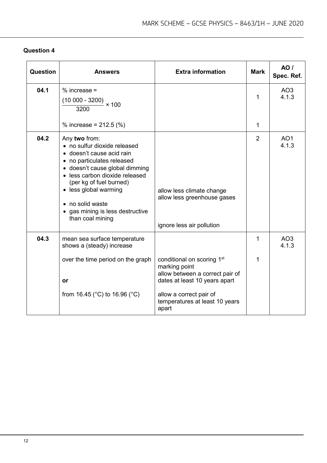| Question | <b>Answers</b>                                                                                                                                                                                                                                                                                               | <b>Extra information</b>                                                                                                    | <b>Mark</b>    | <b>AO</b> /<br>Spec. Ref. |
|----------|--------------------------------------------------------------------------------------------------------------------------------------------------------------------------------------------------------------------------------------------------------------------------------------------------------------|-----------------------------------------------------------------------------------------------------------------------------|----------------|---------------------------|
| 04.1     | $%$ increase =<br>$(10\ 000 - 3200)$ × 100<br>3200                                                                                                                                                                                                                                                           |                                                                                                                             | 1              | AO <sub>3</sub><br>4.1.3  |
|          | % increase = $212.5$ (%)                                                                                                                                                                                                                                                                                     |                                                                                                                             | 1              |                           |
| 04.2     | Any two from:<br>• no sulfur dioxide released<br>· doesn't cause acid rain<br>• no particulates released<br>• doesn't cause global dimming<br>• less carbon dioxide released<br>(per kg of fuel burned)<br>• less global warming<br>• no solid waste<br>• gas mining is less destructive<br>than coal mining | allow less climate change<br>allow less greenhouse gases<br>ignore less air pollution                                       | $\overline{2}$ | AO <sub>1</sub><br>4.1.3  |
| 04.3     | mean sea surface temperature<br>shows a (steady) increase                                                                                                                                                                                                                                                    |                                                                                                                             | 1              | AO <sub>3</sub><br>4.1.3  |
|          | over the time period on the graph<br>or                                                                                                                                                                                                                                                                      | conditional on scoring 1 <sup>st</sup><br>marking point<br>allow between a correct pair of<br>dates at least 10 years apart | 1              |                           |
|          | from 16.45 ( $^{\circ}$ C) to 16.96 ( $^{\circ}$ C)                                                                                                                                                                                                                                                          | allow a correct pair of<br>temperatures at least 10 years<br>apart                                                          |                |                           |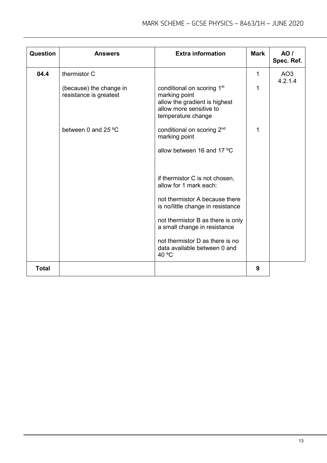| Question     | <b>Answers</b>                                    | <b>Extra information</b>                                                                                                                  | <b>Mark</b> | AO/<br>Spec. Ref.          |
|--------------|---------------------------------------------------|-------------------------------------------------------------------------------------------------------------------------------------------|-------------|----------------------------|
| 04.4         | thermistor C                                      |                                                                                                                                           | 1           | AO <sub>3</sub><br>4.2.1.4 |
|              | (because) the change in<br>resistance is greatest | conditional on scoring 1 <sup>st</sup><br>marking point<br>allow the gradient is highest<br>allow more sensitive to<br>temperature change | 1           |                            |
|              | between 0 and 25 °C                               | conditional on scoring 2 <sup>nd</sup><br>marking point                                                                                   | 1           |                            |
|              |                                                   | allow between 16 and 17 °C                                                                                                                |             |                            |
|              |                                                   | if thermistor C is not chosen,<br>allow for 1 mark each:                                                                                  |             |                            |
|              |                                                   | not thermistor A because there<br>is no/little change in resistance                                                                       |             |                            |
|              |                                                   | not thermistor B as there is only<br>a small change in resistance                                                                         |             |                            |
|              |                                                   | not thermistor D as there is no<br>data available between 0 and<br>40 °C                                                                  |             |                            |
| <b>Total</b> |                                                   |                                                                                                                                           | 9           |                            |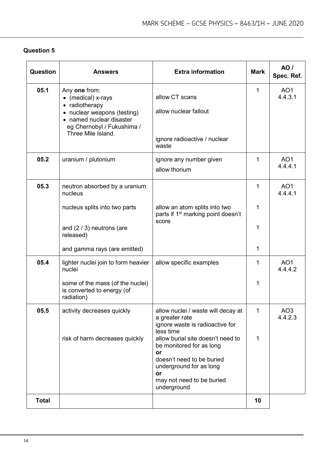| Question     | <b>Answers</b>                                                                                                                                                       | <b>Extra information</b>                                                                                                                                                      | <b>Mark</b>  | <b>AO</b> /<br>Spec. Ref.  |
|--------------|----------------------------------------------------------------------------------------------------------------------------------------------------------------------|-------------------------------------------------------------------------------------------------------------------------------------------------------------------------------|--------------|----------------------------|
| 05.1         | Any one from:<br>• (medical) x-rays<br>• radiotherapy<br>• nuclear weapons (testing)<br>• named nuclear disaster<br>eg Chernobyl / Fukushima /<br>Three Mile Island. | allow CT scans<br>allow nuclear fallout<br>ignore radioactive / nuclear<br>waste                                                                                              | $\mathbf{1}$ | AO <sub>1</sub><br>4.4.3.1 |
| 05.2         | uranium / plutonium                                                                                                                                                  | ignore any number given<br>allow thorium                                                                                                                                      | 1            | AO <sub>1</sub><br>4.4.4.1 |
| 05.3         | neutron absorbed by a uranium<br>nucleus                                                                                                                             |                                                                                                                                                                               | 1            | AO <sub>1</sub><br>4.4.4.1 |
|              | nucleus splits into two parts                                                                                                                                        | allow an atom splits into two<br>parts if 1 <sup>st</sup> marking point doesn't                                                                                               | 1            |                            |
|              | and $(2/3)$ neutrons (are<br>released)                                                                                                                               | score                                                                                                                                                                         | 1            |                            |
|              | and gamma rays (are emitted)                                                                                                                                         |                                                                                                                                                                               | 1            |                            |
| 05.4         | lighter nuclei join to form heavier<br>nuclei                                                                                                                        | allow specific examples                                                                                                                                                       | 1            | AO <sub>1</sub><br>4.4.4.2 |
|              | some of the mass (of the nuclei)<br>is converted to energy (of<br>radiation)                                                                                         |                                                                                                                                                                               | 1            |                            |
| 05.5         | activity decreases quickly                                                                                                                                           | allow nuclei / waste will decay at<br>a greater rate<br>ignore waste is radioactive for<br>less time                                                                          | 1            | AO <sub>3</sub><br>4.4.2.3 |
|              | risk of harm decreases quickly                                                                                                                                       | allow burial site doesn't need to<br>be monitored for as long<br>or<br>doesn't need to be buried<br>underground for as long<br>or<br>may not need to be buried<br>underground | 1            |                            |
| <b>Total</b> |                                                                                                                                                                      |                                                                                                                                                                               | 10           |                            |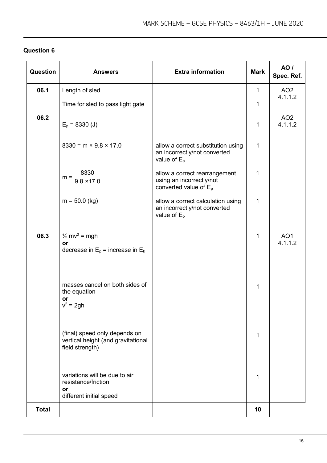| Question     | <b>Answers</b>                                                                         | <b>Extra information</b>                                                              | <b>Mark</b>  | AO /<br>Spec. Ref.         |
|--------------|----------------------------------------------------------------------------------------|---------------------------------------------------------------------------------------|--------------|----------------------------|
| 06.1         | Length of sled                                                                         |                                                                                       | $\mathbf 1$  | AO <sub>2</sub><br>4.1.1.2 |
|              | Time for sled to pass light gate                                                       |                                                                                       | $\mathbf 1$  |                            |
| 06.2         | $E_p = 8330$ (J)                                                                       |                                                                                       | $\mathbf{1}$ | AO <sub>2</sub><br>4.1.1.2 |
|              | $8330 = m \times 9.8 \times 17.0$                                                      | allow a correct substitution using<br>an incorrectly/not converted<br>value of $E_p$  | $\mathbf{1}$ |                            |
|              | 8330<br>$m = \frac{1}{9.8 \times 17.0}$                                                | allow a correct rearrangement<br>using an incorrectly/not<br>converted value of $E_p$ | 1            |                            |
|              | $m = 50.0$ (kg)                                                                        | allow a correct calculation using<br>an incorrectly/not converted<br>value of $E_p$   | $\mathbf{1}$ |                            |
| 06.3         | $\frac{1}{2}$ mv <sup>2</sup> = mgh<br>or<br>decrease in $E_p$ = increase in $E_k$     |                                                                                       | $\mathbf{1}$ | AO <sub>1</sub><br>4.1.1.2 |
|              | masses cancel on both sides of<br>the equation<br>or<br>$v^2 = 2gh$                    |                                                                                       | 1            |                            |
|              | (final) speed only depends on<br>vertical height (and gravitational<br>field strength) |                                                                                       | $\mathbf{1}$ |                            |
|              | variations will be due to air<br>resistance/friction<br>or<br>different initial speed  |                                                                                       | 1            |                            |
| <b>Total</b> |                                                                                        |                                                                                       | 10           |                            |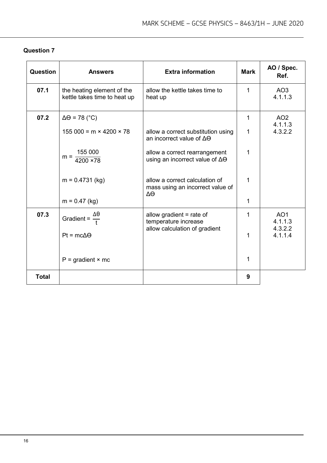| <b>Question</b> | <b>Answers</b>                                             | <b>Extra information</b>                                                    | <b>Mark</b>    | AO / Spec.<br>Ref.         |
|-----------------|------------------------------------------------------------|-----------------------------------------------------------------------------|----------------|----------------------------|
| 07.1            | the heating element of the<br>kettle takes time to heat up | allow the kettle takes time to<br>heat up                                   | $\mathbf 1$    | AO <sub>3</sub><br>4.1.1.3 |
| 07.2            | $\Delta\Theta$ = 78 (°C)                                   |                                                                             | 1              | AO <sub>2</sub><br>4.1.1.3 |
|                 | $155000 = m \times 4200 \times 78$                         | allow a correct substitution using<br>an incorrect value of $\Delta\Theta$  | $\mathbf{1}$   | 4.3.2.2                    |
|                 | 155 000<br>$m =$<br>$4200 \times 78$                       | allow a correct rearrangement<br>using an incorrect value of $\Delta\Theta$ | $\overline{1}$ |                            |
|                 | $m = 0.4731$ (kg)                                          | allow a correct calculation of<br>mass using an incorrect value of<br>ΔΘ    | 1              |                            |
|                 | $m = 0.47$ (kg)                                            |                                                                             | $\mathbf{1}$   |                            |
| 07.3            | Gradient = $\frac{1}{t}$                                   | allow gradient $=$ rate of<br>temperature increase                          | $\mathbf{1}$   | AO <sub>1</sub><br>4.1.1.3 |
|                 | $Pt = mc\Delta\Theta$                                      | allow calculation of gradient                                               | $\mathbf{1}$   | 4.3.2.2<br>4.1.1.4         |
|                 | $P =$ gradient $\times$ mc                                 |                                                                             | $\mathbf{1}$   |                            |
| <b>Total</b>    |                                                            |                                                                             | 9              |                            |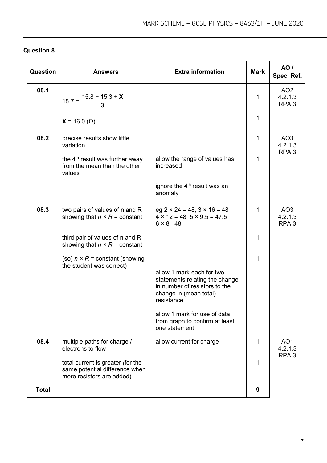| Question     | <b>Answers</b>                                                                                   | <b>Extra information</b>                                                                                                             | <b>Mark</b>  | AO /<br>Spec. Ref.                             |
|--------------|--------------------------------------------------------------------------------------------------|--------------------------------------------------------------------------------------------------------------------------------------|--------------|------------------------------------------------|
| 08.1         | $15.7 = \frac{15.8 + 15.3 + X}{3}$                                                               |                                                                                                                                      | 1            | AO <sub>2</sub><br>4.2.1.3<br>RPA <sub>3</sub> |
|              | $X = 16.0 \, (\Omega)$                                                                           |                                                                                                                                      | 1            |                                                |
| 08.2         | precise results show little<br>variation                                                         |                                                                                                                                      | $\mathbf{1}$ | AO <sub>3</sub><br>4.2.1.3<br>RPA <sub>3</sub> |
|              | the 4 <sup>th</sup> result was further away<br>from the mean than the other<br>values            | allow the range of values has<br>increased                                                                                           | 1            |                                                |
|              |                                                                                                  | ignore the 4 <sup>th</sup> result was an<br>anomaly                                                                                  |              |                                                |
| 08.3         | two pairs of values of n and R<br>showing that $n \times R$ = constant                           | eg $2 \times 24 = 48$ , $3 \times 16 = 48$<br>$4 \times 12 = 48, 5 \times 9.5 = 47.5$<br>$6 \times 8 = 48$                           | $\mathbf{1}$ | AO <sub>3</sub><br>4.2.1.3<br>RPA <sub>3</sub> |
|              | third pair of values of n and R<br>showing that $n \times R$ = constant                          |                                                                                                                                      | 1            |                                                |
|              | (so) $n \times R$ = constant (showing<br>the student was correct)                                |                                                                                                                                      | 1            |                                                |
|              |                                                                                                  | allow 1 mark each for two<br>statements relating the change<br>in number of resistors to the<br>change in (mean total)<br>resistance |              |                                                |
|              |                                                                                                  | allow 1 mark for use of data<br>from graph to confirm at least<br>one statement                                                      |              |                                                |
| 08.4         | multiple paths for charge /<br>electrons to flow                                                 | allow current for charge                                                                                                             | 1            | AO <sub>1</sub><br>4.2.1.3                     |
|              | total current is greater (for the<br>same potential difference when<br>more resistors are added) |                                                                                                                                      | 1            | RPA <sub>3</sub>                               |
| <b>Total</b> |                                                                                                  |                                                                                                                                      | 9            |                                                |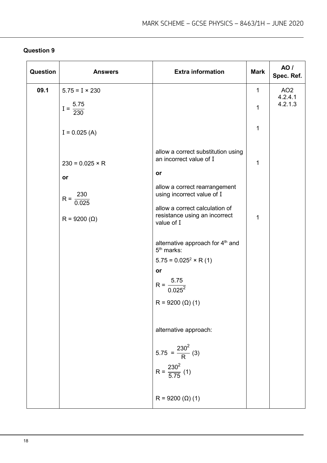| Question | <b>Answers</b>                    | <b>Extra information</b>                                                      | <b>Mark</b>  | <b>AO</b> /<br>Spec. Ref.             |
|----------|-----------------------------------|-------------------------------------------------------------------------------|--------------|---------------------------------------|
| 09.1     | $5.75 = I \times 230$             |                                                                               | $\mathbf{1}$ | AO <sub>2</sub><br>4.2.4.1<br>4.2.1.3 |
|          | $I = \frac{5.75}{230}$            |                                                                               | 1            |                                       |
|          | $I = 0.025 (A)$                   |                                                                               | 1            |                                       |
|          | $230 = 0.025 \times R$            | allow a correct substitution using<br>an incorrect value of I                 | 1            |                                       |
|          | or                                | or                                                                            |              |                                       |
|          | 230<br>$R = \frac{1}{2}$<br>0.025 | allow a correct rearrangement<br>using incorrect value of I                   |              |                                       |
|          | $R = 9200 (Ω)$                    | allow a correct calculation of<br>resistance using an incorrect<br>value of I | 1            |                                       |
|          |                                   | alternative approach for 4 <sup>th</sup> and<br>$5th$ marks:                  |              |                                       |
|          |                                   | $5.75 = 0.025^2 \times R(1)$                                                  |              |                                       |
|          |                                   | or                                                                            |              |                                       |
|          |                                   | $R = \frac{5.75}{0.025^2}$                                                    |              |                                       |
|          |                                   | $R = 9200 (Ω) (1)$                                                            |              |                                       |
|          |                                   | alternative approach:                                                         |              |                                       |
|          |                                   | $5.75 = \frac{230^2}{R}$ (3)                                                  |              |                                       |
|          |                                   | $R = \frac{230^2}{5.75}$ (1)                                                  |              |                                       |
|          |                                   | $R = 9200 (Ω) (1)$                                                            |              |                                       |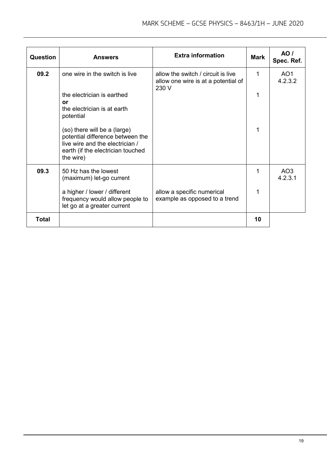| Question | <b>Answers</b>                                                                                                                                        | <b>Extra information</b>                                                           | <b>Mark</b> | AO/<br>Spec. Ref.          |
|----------|-------------------------------------------------------------------------------------------------------------------------------------------------------|------------------------------------------------------------------------------------|-------------|----------------------------|
| 09.2     | one wire in the switch is live                                                                                                                        | allow the switch / circuit is live<br>allow one wire is at a potential of<br>230 V | 1           | AO <sub>1</sub><br>4.2.3.2 |
|          | the electrician is earthed<br>or<br>the electrician is at earth<br>potential                                                                          |                                                                                    |             |                            |
|          | (so) there will be a (large)<br>potential difference between the<br>live wire and the electrician /<br>earth (if the electrician touched<br>the wire) |                                                                                    |             |                            |
| 09.3     | 50 Hz has the lowest<br>(maximum) let-go current                                                                                                      |                                                                                    |             | AO <sub>3</sub><br>4.2.3.1 |
|          | a higher / lower / different<br>frequency would allow people to<br>let go at a greater current                                                        | allow a specific numerical<br>example as opposed to a trend                        |             |                            |
| Total    |                                                                                                                                                       |                                                                                    | 10          |                            |